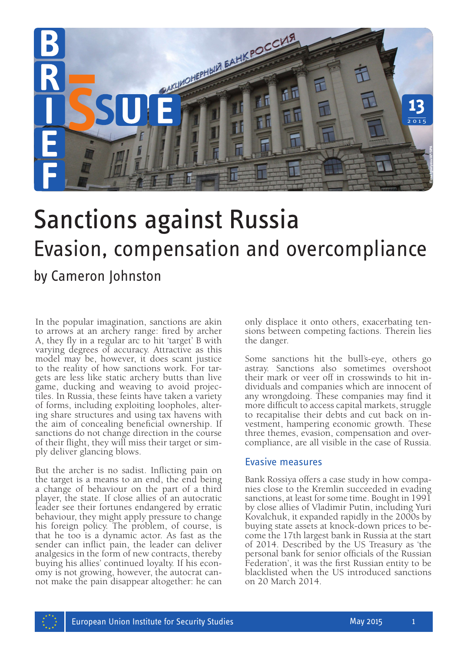

# Sanctions against Russia Evasion, compensation and overcompliance by Cameron Johnston

In the popular imagination, sanctions are akin to arrows at an archery range: fired by archer A, they fly in a regular arc to hit 'target' B with varying degrees of accuracy. Attractive as this model may be, however, it does scant justice to the reality of how sanctions work. For targets are less like static archery butts than live game, ducking and weaving to avoid projectiles. In Russia, these feints have taken a variety of forms, including exploiting loopholes, altering share structures and using tax havens with the aim of concealing beneficial ownership. If sanctions do not change direction in the course of their flight, they will miss their target or sim- ply deliver glancing blows.

But the archer is no sadist. Inflicting pain on the target is a means to an end, the end being a change of behaviour on the part of a third player, the state. If close allies of an autocratic leader see their fortunes endangered by erratic behaviour, they might apply pressure to change his foreign policy. The problem, of course, is that he too is a dynamic actor. As fast as the sender can inflict pain, the leader can deliver analgesics in the form of new contracts, thereby buying his allies' continued loyalty. If his economy is not growing, however, the autocrat cannot make the pain disappear altogether: he can

only displace it onto others, exacerbating tensions between competing factions. Therein lies the danger.

Some sanctions hit the bull's-eye, others go astray. Sanctions also sometimes overshoot their mark or veer off in crosswinds to hit individuals and companies which are innocent of any wrongdoing. These companies may find it more difficult to access capital markets, struggle to recapitalise their debts and cut back on investment, hampering economic growth. These three themes, evasion, compensation and over- compliance, are all visible in the case of Russia.

#### Evasive measures

Bank Rossiya offers a case study in how companies close to the Kremlin succeeded in evading sanctions, at least for some time. Bought in 1991 by close allies of Vladimir Putin, including Yuri Kovalchuk, it expanded rapidly in the 2000s by buying state assets at knock-down prices to be- come the 17th largest bank in Russia at the start of 2014. Described by the US Treasury as 'the personal bank for senior officials of the Russian Federation', it was the first Russian entity to be blacklisted when the US introduced sanctions on 20 March 2014.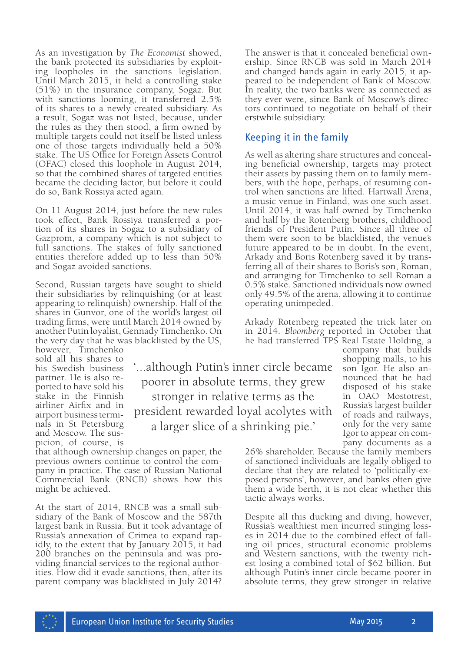As an investigation by *The Economist* showed, the bank protected its subsidiaries by exploiting loopholes in the sanctions legislation. Until March 2015, it held a controlling stake (51%) in the insurance company, Sogaz. But with sanctions looming, it transferred 2.5% of its shares to a newly created subsidiary. As a result, Sogaz was not listed, because, under the rules as they then stood, a firm owned by multiple targets could not itself be listed unless one of those targets individually held a 50% stake. The US Office for Foreign Assets Control (OFAC) closed this loophole in August 2014, so that the combined shares of targeted entities became the deciding factor, but before it could do so, Bank Rossiya acted again.

On 11 August 2014, just before the new rules took effect, Bank Rossiya transferred a portion of its shares in Sogaz to a subsidiary of Gazprom, a company which is not subject to full sanctions. The stakes of fully sanctioned entities therefore added up to less than 50% and Sogaz avoided sanctions.

Second, Russian targets have sought to shield their subsidiaries by relinquishing (or at least appearing to relinquish) ownership. Half of the shares in Gunvor, one of the world's largest oil trading firms, were until March 2014 owned by another Putin loyalist, Gennady Timchenko. On the very day that he was blacklisted by the US,

however, Timchenko sold all his shares to his Swedish business partner. He is also reported to have sold his stake in the Finnish airliner Airfix and in airport business termi- nals in St Petersburg and Moscow. The suspicion, of course, is

'...although Putin's inner circle became poorer in absolute terms, they grew stronger in relative terms as the president rewarded loyal acolytes with a larger slice of a shrinking pie.'

that although ownership changes on paper, the previous owners continue to control the company in practice. The case of Russian National Commercial Bank (RNCB) shows how this might be achieved.

At the start of 2014, RNCB was a small subsidiary of the Bank of Moscow and the 587th largest bank in Russia. But it took advantage of Russia's annexation of Crimea to expand rap- idly, to the extent that by January 2015, it had 200 branches on the peninsula and was providing financial services to the regional authorities. How did it evade sanctions, then, after its parent company was blacklisted in July 2014?

The answer is that it concealed beneficial ownership. Since RNCB was sold in March 2014 and changed hands again in early 2015, it appeared to be independent of Bank of Moscow. In reality, the two banks were as connected as they ever were, since Bank of Moscow's directors continued to negotiate on behalf of their erstwhile subsidiary.

# Keeping it in the family

As well as altering share structures and concealing beneficial ownership, targets may protect their assets by passing them on to family members, with the hope, perhaps, of resuming control when sanctions are lifted. Hartwall Arena, a music venue in Finland, was one such asset. Until 2014, it was half owned by Timchenko and half by the Rotenberg brothers, childhood friends of President Putin. Since all three of them were soon to be blacklisted, the venue's future appeared to be in doubt. In the event, Arkady and Boris Rotenberg saved it by transferring all of their shares to Boris's son, Roman, and arranging for Timchenko to sell Roman a 0.5% stake. Sanctioned individuals now owned only 49.5% of the arena, allowing it to continue operating unimpeded.

Arkady Rotenberg repeated the trick later on in 2014. *Bloomberg* reported in October that he had transferred TPS Real Estate Holding, a

company that builds shopping malls, to his son Igor. He also an- nounced that he had disposed of his stake in OAO Mostotrest, Russia's largest builder of roads and railways, only for the very same Igor to appear on company documents as a

26% shareholder. Because the family members of sanctioned individuals are legally obliged to declare that they are related to 'politically-exposed persons', however, and banks often give them a wide berth, it is not clear whether this tactic always works.

Despite all this ducking and diving, however, Russia's wealthiest men incurred stinging loss- es in 2014 due to the combined effect of fall- ing oil prices, structural economic problems and Western sanctions, with the twenty richest losing a combined total of \$62 billion. But although Putin's inner circle became poorer in absolute terms, they grew stronger in relative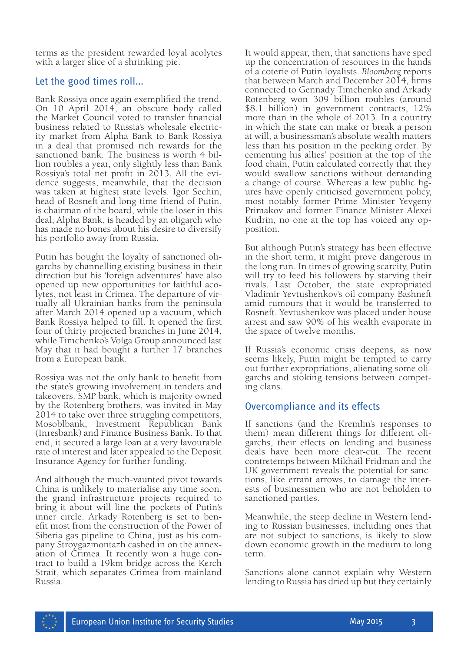terms as the president rewarded loyal acolytes with a larger slice of a shrinking pie.

## Let the good times roll…

Bank Rossiya once again exemplified the trend. On 10 April 2014, an obscure body called the Market Council voted to transfer financial business related to Russia's wholesale electricity market from Alpha Bank to Bank Rossiya in a deal that promised rich rewards for the sanctioned bank. The business is worth 4 billion roubles a year, only slightly less than Bank Rossiya's total net profit in 2013. All the evidence suggests, meanwhile, that the decision was taken at highest state levels. Igor Sechin, head of Rosneft and long-time friend of Putin, is chairman of the board, while the loser in this deal, Alpha Bank, is headed by an oligarch who has made no bones about his desire to diversify his portfolio away from Russia.

Putin has bought the loyalty of sanctioned oligarchs by channelling existing business in their direction but his 'foreign adventures' have also opened up new opportunities for faithful acolytes, not least in Crimea. The departure of virtually all Ukrainian banks from the peninsula after March 2014 opened up a vacuum, which Bank Rossiya helped to fill. It opened the first four of thirty projected branches in June 2014, while Timchenko's Volga Group announced last May that it had bought a further 17 branches from a European bank.

Rossiya was not the only bank to benefit from the state's growing involvement in tenders and takeovers. SMP bank, which is majority owned by the Rotenberg brothers, was invited in May 2014 to take over three struggling competitors, Mosoblbank, Investment Republican Bank (Inresbank) and Finance Business Bank. To that end, it secured a large loan at a very favourable rate of interest and later appealed to the Deposit Insurance Agency for further funding.

And although the much-vaunted pivot towards China is unlikely to materialise any time soon, the grand infrastructure projects required to bring it about will line the pockets of Putin's inner circle. Arkady Rotenberg is set to benefit most from the construction of the Power of Siberia gas pipeline to China, just as his com-<br>pany Stroygazmontazh cashed in on the annex-<br>ation of Crimea. It recently won a huge contract to build a 19km bridge across the Kerch Strait, which separates Crimea from mainland Russia.

It would appear, then, that sanctions have sped up the concentration of resources in the hands of a coterie of Putin loyalists. *Bloomberg* reports that between March and December 2014, firms connected to Gennady Timchenko and Arkady Rotenberg won 309 billion roubles (around \$8.1 billion) in government contracts, 12% more than in the whole of 2013. In a country in which the state can make or break a person at will, a businessman's absolute wealth matters less than his position in the pecking order. By cementing his allies' position at the top of the food chain, Putin calculated correctly that they would swallow sanctions without demanding a change of course. Whereas a few public figures have openly criticised government policy, most notably former Prime Minister Yevgeny Primakov and former Finance Minister Alexei Kudrin, no one at the top has voiced any opposition.

But although Putin's strategy has been effective in the short term, it might prove dangerous in the long run. In times of growing scarcity, Putin will try to feed his followers by starving their rivals. Last October, the state expropriated Vladimir Yevtushenkov's oil company Bashneft amid rumours that it would be transferred to Rosneft. Yevtushenkov was placed under house arrest and saw 90% of his wealth evaporate in the space of twelve months.

If Russia's economic crisis deepens, as now seems likely, Putin might be tempted to carry out further expropriations, alienating some oli- garchs and stoking tensions between competing clans.

#### Overcompliance and its effects

If sanctions (and the Kremlin's responses to them) mean different things for different oligarchs, their effects on lending and business deals have been more clear-cut. The recent contretemps between Mikhail Fridman and the UK government reveals the potential for sanctions, like errant arrows, to damage the interests of businessmen who are not beholden to sanctioned parties.

Meanwhile, the steep decline in Western lending to Russian businesses, including ones that are not subject to sanctions, is likely to slow down economic growth in the medium to long term.

Sanctions alone cannot explain why Western lending to Russia has dried up but they certainly